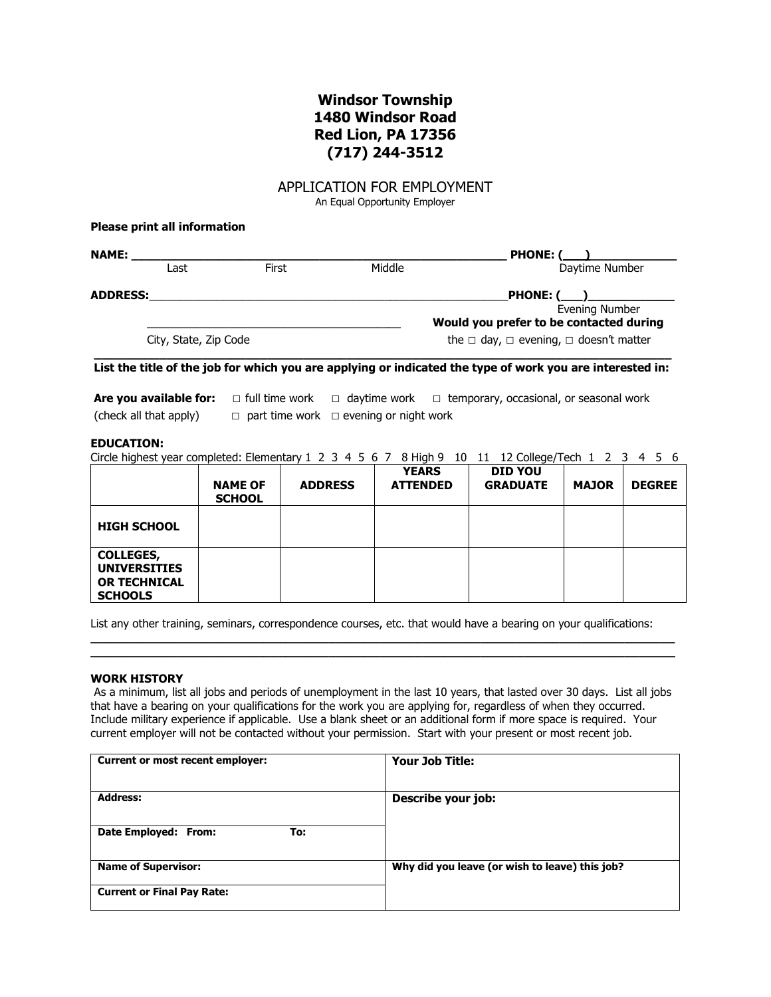## **Windsor Township 1480 Windsor Road Red Lion, PA 17356 (717) 244-3512**

## APPLICATION FOR EMPLOYMENT

An Equal Opportunity Employer

|                       | <b>Please print all information</b> |       |        |                                                       |
|-----------------------|-------------------------------------|-------|--------|-------------------------------------------------------|
| <b>NAME:</b>          |                                     |       |        | <b>PHONE: (</b>                                       |
|                       | Last                                | First | Middle | Daytime Number                                        |
| <b>ADDRESS:</b>       |                                     |       |        | PHONE: ( )                                            |
|                       |                                     |       |        | <b>Evening Number</b>                                 |
| City, State, Zip Code |                                     |       |        | Would you prefer to be contacted during               |
|                       |                                     |       |        | the $\Box$ day, $\Box$ evening, $\Box$ doesn't matter |

**List the title of the job for which you are applying or indicated the type of work you are interested in:** 

**Are you available for:** □ full time work □ daytime work □ temporary, occasional, or seasonal work (check all that apply)  $\Box$  part time work  $\Box$  evening or night work

#### **EDUCATION:**

Circle highest year completed: Elementary 1 2 3 4 5 6 7 8 High 9 10 11 12 College/Tech 1 2 3 4 5 6

|                                                                                  | <b>NAME OF</b><br><b>SCHOOL</b> | <b>ADDRESS</b> | <b>YEARS</b><br><b>ATTENDED</b> | <b>DID YOU</b><br><b>GRADUATE</b> | <b>MAJOR</b> | <b>DEGREE</b> |
|----------------------------------------------------------------------------------|---------------------------------|----------------|---------------------------------|-----------------------------------|--------------|---------------|
| <b>HIGH SCHOOL</b>                                                               |                                 |                |                                 |                                   |              |               |
| <b>COLLEGES,</b><br><b>UNIVERSITIES</b><br><b>OR TECHNICAL</b><br><b>SCHOOLS</b> |                                 |                |                                 |                                   |              |               |

List any other training, seminars, correspondence courses, etc. that would have a bearing on your qualifications:

**\_\_\_\_\_\_\_\_\_\_\_\_\_\_\_\_\_\_\_\_\_\_\_\_\_\_\_\_\_\_\_\_\_\_\_\_\_\_\_\_\_\_\_\_\_\_\_\_\_\_\_\_\_\_\_\_\_\_\_\_\_\_\_\_\_\_\_\_\_\_\_\_\_\_\_\_\_\_\_\_\_ \_\_\_\_\_\_\_\_\_\_\_\_\_\_\_\_\_\_\_\_\_\_\_\_\_\_\_\_\_\_\_\_\_\_\_\_\_\_\_\_\_\_\_\_\_\_\_\_\_\_\_\_\_\_\_\_\_\_\_\_\_\_\_\_\_\_\_\_\_\_\_\_\_\_\_\_\_\_\_\_\_** 

#### **WORK HISTORY**

As a minimum, list all jobs and periods of unemployment in the last 10 years, that lasted over 30 days. List all jobs that have a bearing on your qualifications for the work you are applying for, regardless of when they occurred. Include military experience if applicable. Use a blank sheet or an additional form if more space is required. Your current employer will not be contacted without your permission. Start with your present or most recent job.

| <b>Current or most recent employer:</b> | <b>Your Job Title:</b>                         |
|-----------------------------------------|------------------------------------------------|
| <b>Address:</b>                         | Describe your job:                             |
| Date Employed: From:<br>To:             |                                                |
| <b>Name of Supervisor:</b>              | Why did you leave (or wish to leave) this job? |
| <b>Current or Final Pay Rate:</b>       |                                                |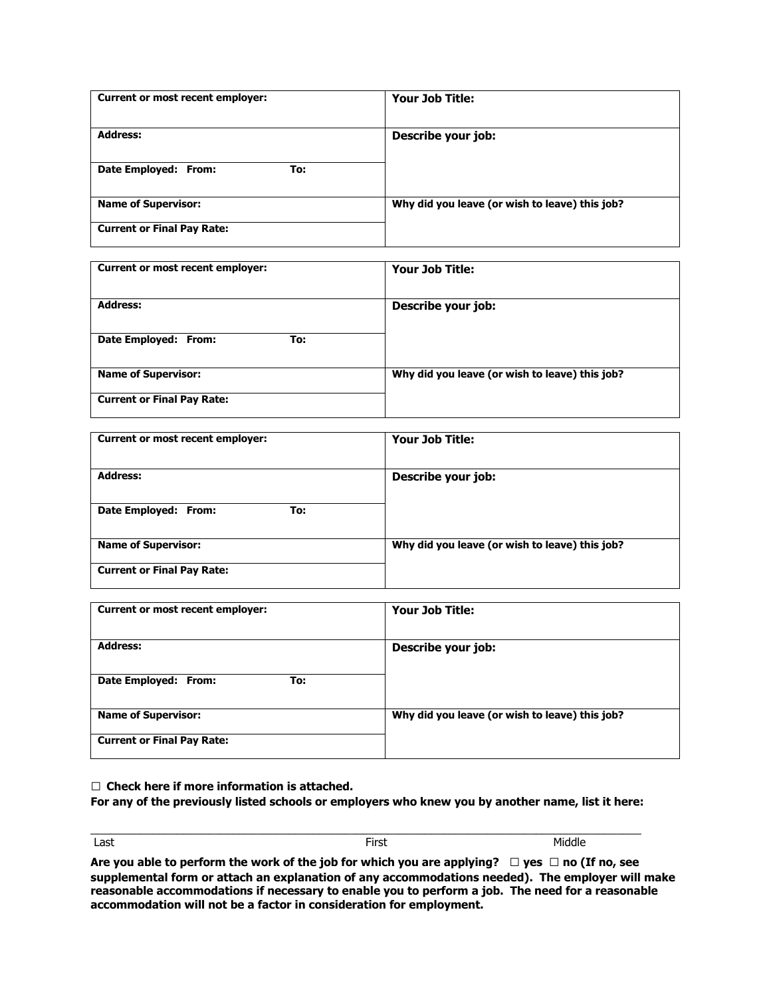| <b>Current or most recent employer:</b> | Your Job Title:                                |
|-----------------------------------------|------------------------------------------------|
| <b>Address:</b>                         | Describe your job:                             |
| Date Employed: From:<br>To:             |                                                |
| <b>Name of Supervisor:</b>              | Why did you leave (or wish to leave) this job? |
| <b>Current or Final Pay Rate:</b>       |                                                |

| <b>Current or most recent employer:</b> | Your Job Title:                                |
|-----------------------------------------|------------------------------------------------|
| <b>Address:</b>                         | Describe your job:                             |
| Date Employed: From:<br>To:             |                                                |
| <b>Name of Supervisor:</b>              | Why did you leave (or wish to leave) this job? |
| <b>Current or Final Pay Rate:</b>       |                                                |

| Current or most recent employer:  | Your Job Title:                                |
|-----------------------------------|------------------------------------------------|
| <b>Address:</b>                   | Describe your job:                             |
| Date Employed: From:<br>To:       |                                                |
| <b>Name of Supervisor:</b>        | Why did you leave (or wish to leave) this job? |
| <b>Current or Final Pay Rate:</b> |                                                |

| <b>Current or most recent employer:</b> | <b>Your Job Title:</b>                         |
|-----------------------------------------|------------------------------------------------|
| <b>Address:</b>                         | Describe your job:                             |
| Date Employed: From:<br>To:             |                                                |
| <b>Name of Supervisor:</b>              | Why did you leave (or wish to leave) this job? |
| <b>Current or Final Pay Rate:</b>       |                                                |

**□ Check here if more information is attached.** 

**For any of the previously listed schools or employers who knew you by another name, list it here:** 

\_\_\_\_\_\_\_\_\_\_\_\_\_\_\_\_\_\_\_\_\_\_\_\_\_\_\_\_\_\_\_\_\_\_\_\_\_\_\_\_\_\_\_\_\_\_\_\_\_\_\_\_\_\_\_\_\_\_\_\_\_\_\_\_\_\_\_\_\_\_\_\_\_\_\_\_\_\_\_\_\_\_\_\_\_\_\_\_\_

Last **Example 2018** Controller Middle Controller Middle Controller Middle Controller Middle

**Are you able to perform the work of the job for which you are applying? □ yes □ no (If no, see supplemental form or attach an explanation of any accommodations needed). The employer will make reasonable accommodations if necessary to enable you to perform a job. The need for a reasonable accommodation will not be a factor in consideration for employment.**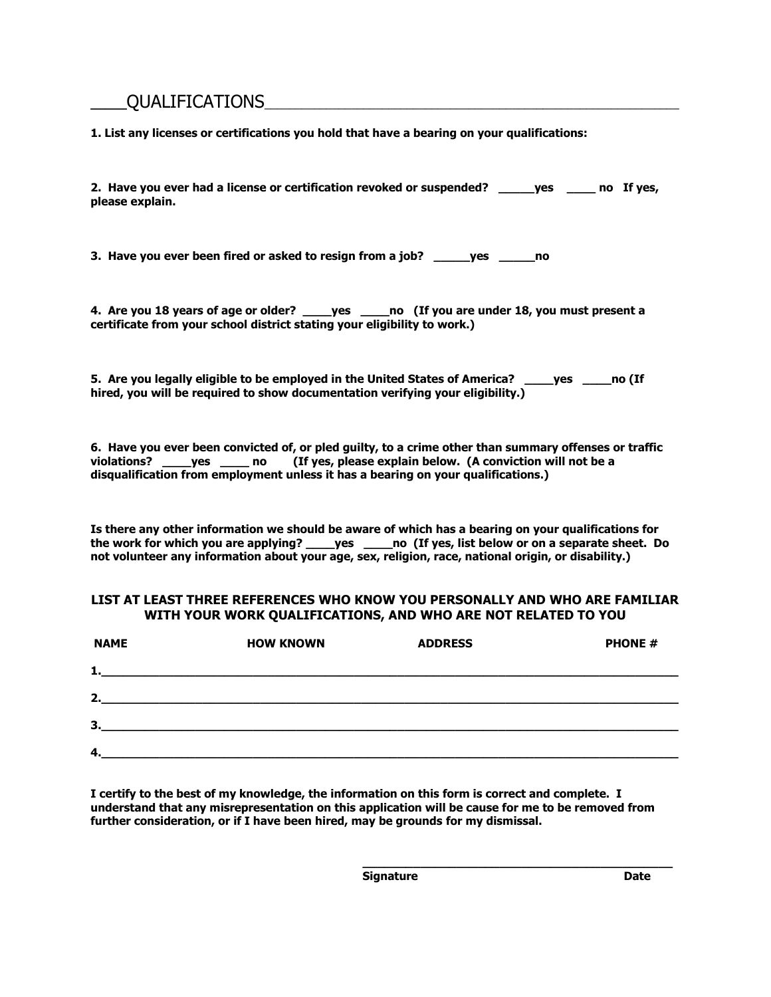**\_\_\_\_\_**QUALIFICATIONS\_\_\_\_\_\_\_\_\_\_\_\_\_\_\_\_\_\_\_\_\_\_\_\_\_\_\_\_\_\_\_\_\_\_\_\_\_\_\_\_\_\_\_\_\_\_\_\_\_\_\_\_\_\_\_\_\_\_\_\_\_\_\_\_\_\_\_

**1. List any licenses or certifications you hold that have a bearing on your qualifications:** 

| 2. Have you ever had a license or certification revoked or suspended? _____ yes _____ no If yes,<br>please explain.                                                          |
|------------------------------------------------------------------------------------------------------------------------------------------------------------------------------|
| 3. Have you ever been fired or asked to resign from a job? yes<br>no                                                                                                         |
| 4. Are you 18 years of age or older? _____ yes _____ no (If you are under 18, you must present a<br>certificate from your school district stating your eligibility to work.) |
| 5. Are you legally eligible to be employed in the United States of America?<br>no (If<br>ves                                                                                 |

**6. Have you ever been convicted of, or pled guilty, to a crime other than summary offenses or traffic** 

**hired, you will be required to show documentation verifying your eligibility.)** 

**violations? \_\_\_\_yes \_\_\_\_ no (If yes, please explain below. (A conviction will not be a disqualification from employment unless it has a bearing on your qualifications.)** 

**Is there any other information we should be aware of which has a bearing on your qualifications for the work for which you are applying? \_\_\_\_yes \_\_\_\_no (If yes, list below or on a separate sheet. Do not volunteer any information about your age, sex, religion, race, national origin, or disability.)** 

### **LIST AT LEAST THREE REFERENCES WHO KNOW YOU PERSONALLY AND WHO ARE FAMILIAR WITH YOUR WORK QUALIFICATIONS, AND WHO ARE NOT RELATED TO YOU**

| <b>NAME</b> | <b>HOW KNOWN</b>                                                                                                      | <b>ADDRESS</b>                                                                   | <b>PHONE #</b> |
|-------------|-----------------------------------------------------------------------------------------------------------------------|----------------------------------------------------------------------------------|----------------|
| 1.          | <u> 1990 - Jacob John Harry Harry Harry Harry Harry Harry Harry Harry Harry Harry Harry Harry Harry Harry Harry H</u> |                                                                                  |                |
| 2.          |                                                                                                                       | ,我们也不会有什么。""我们的人,我们也不会有什么?""我们的人,我们也不会有什么?""我们的人,我们也不会有什么?""我们的人,我们也不会有什么?""我们的人 |                |
| 3.          |                                                                                                                       |                                                                                  |                |
| 4.          |                                                                                                                       | ,我们也不能在这里,我们也不能会在这里,我们也不能会在这里,我们也不能会在这里,我们也不能会不能会不能会。""我们,我们也不能会不能会不能会不能会不能会不能会不 |                |

**I certify to the best of my knowledge, the information on this form is correct and complete. I understand that any misrepresentation on this application will be cause for me to be removed from further consideration, or if I have been hired, may be grounds for my dismissal.** 

**Signature Date** 

**\_\_\_\_\_\_\_\_\_\_\_\_\_\_\_\_\_\_\_\_\_\_\_\_\_\_\_\_\_\_\_\_\_\_\_\_\_\_\_\_\_\_\_**